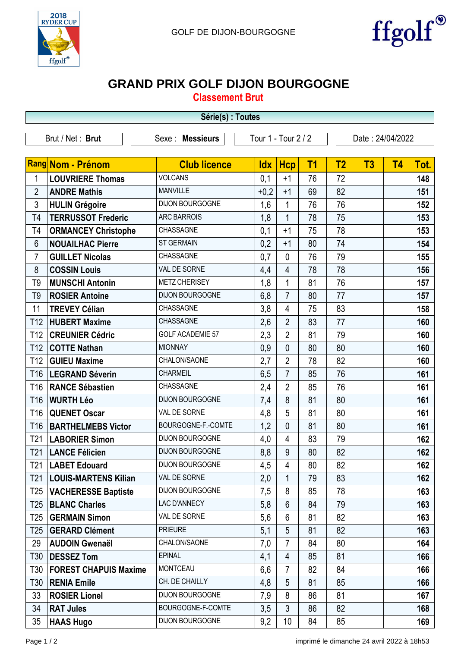



## **GRAND PRIX GOLF DIJON BOURGOGNE**

**Classement Brut**

| Série(s) : Toutes |                              |                         |                     |                |                |                |                  |                |      |  |
|-------------------|------------------------------|-------------------------|---------------------|----------------|----------------|----------------|------------------|----------------|------|--|
|                   | Brut / Net: Brut             | Sexe : Messieurs        | Tour 1 - Tour 2 / 2 |                |                |                | Date: 24/04/2022 |                |      |  |
|                   |                              |                         |                     |                |                |                |                  |                |      |  |
|                   | Rang Nom - Prénom            | <b>Club licence</b>     | <b>Idx</b>          | <b>Hcp</b>     | T <sub>1</sub> | T <sub>2</sub> | T3               | T <sub>4</sub> | Tot. |  |
| 1                 | <b>LOUVRIERE Thomas</b>      | <b>VOLCANS</b>          | 0,1                 | $+1$           | 76             | 72             |                  |                | 148  |  |
| $\overline{2}$    | <b>ANDRE Mathis</b>          | <b>MANVILLE</b>         | $+0,2$              | $+1$           | 69             | 82             |                  |                | 151  |  |
| 3                 | <b>HULIN Grégoire</b>        | DIJON BOURGOGNE         | 1,6                 | 1              | 76             | 76             |                  |                | 152  |  |
| T <sub>4</sub>    | <b>TERRUSSOT Frederic</b>    | <b>ARC BARROIS</b>      | 1,8                 | $\mathbf 1$    | 78             | 75             |                  |                | 153  |  |
| T <sub>4</sub>    | <b>ORMANCEY Christophe</b>   | CHASSAGNE               | 0,1                 | $+1$           | 75             | 78             |                  |                | 153  |  |
| 6                 | <b>NOUAILHAC Pierre</b>      | <b>ST GERMAIN</b>       | 0,2                 | $+1$           | 80             | 74             |                  |                | 154  |  |
| $\overline{7}$    | <b>GUILLET Nicolas</b>       | CHASSAGNE               | 0,7                 | $\overline{0}$ | 76             | 79             |                  |                | 155  |  |
| 8                 | <b>COSSIN Louis</b>          | VAL DE SORNE            | 4,4                 | 4              | 78             | 78             |                  |                | 156  |  |
| T <sub>9</sub>    | <b>MUNSCHI Antonin</b>       | <b>METZ CHERISEY</b>    | 1,8                 | 1              | 81             | 76             |                  |                | 157  |  |
| T <sub>9</sub>    | <b>ROSIER Antoine</b>        | DIJON BOURGOGNE         | 6,8                 | $\overline{7}$ | 80             | 77             |                  |                | 157  |  |
| 11                | <b>TREVEY Célian</b>         | CHASSAGNE               | 3,8                 | 4              | 75             | 83             |                  |                | 158  |  |
| T12               | <b>HUBERT Maxime</b>         | CHASSAGNE               | 2,6                 | $\overline{2}$ | 83             | 77             |                  |                | 160  |  |
| T <sub>12</sub>   | <b>CREUNIER Cédric</b>       | <b>GOLF ACADEMIE 57</b> | 2,3                 | $\overline{2}$ | 81             | 79             |                  |                | 160  |  |
| T <sub>12</sub>   | <b>COTTE Nathan</b>          | <b>MIONNAY</b>          | 0,9                 | $\overline{0}$ | 80             | 80             |                  |                | 160  |  |
| T <sub>12</sub>   | <b>GUIEU Maxime</b>          | CHALON/SAONE            | 2,7                 | $\overline{2}$ | 78             | 82             |                  |                | 160  |  |
| T <sub>16</sub>   | <b>LEGRAND Séverin</b>       | <b>CHARMEIL</b>         | 6,5                 | $\overline{7}$ | 85             | 76             |                  |                | 161  |  |
| T <sub>16</sub>   | <b>RANCE Sébastien</b>       | CHASSAGNE               | 2,4                 | $\overline{2}$ | 85             | 76             |                  |                | 161  |  |
| T16               | <b>WURTH Léo</b>             | DIJON BOURGOGNE         | 7,4                 | 8              | 81             | 80             |                  |                | 161  |  |
| T <sub>16</sub>   | <b>QUENET Oscar</b>          | VAL DE SORNE            | 4,8                 | 5              | 81             | 80             |                  |                | 161  |  |
| T <sub>16</sub>   | <b>BARTHELMEBS Victor</b>    | BOURGOGNE-F.-COMTE      | 1,2                 | $\overline{0}$ | 81             | 80             |                  |                | 161  |  |
| T <sub>21</sub>   | <b>LABORIER Simon</b>        | DIJON BOURGOGNE         | 4,0                 | 4              | 83             | 79             |                  |                | 162  |  |
| T21               | <b>LANCE Félicien</b>        | <b>DIJON BOURGOGNE</b>  | $_{\rm 8,8}$        | q              | 80             | 82             |                  |                | 162  |  |
| T <sub>21</sub>   | <b>LABET Edouard</b>         | DIJON BOURGOGNE         | 4,5                 | 4              | 80             | 82             |                  |                | 162  |  |
| T <sub>21</sub>   | <b>LOUIS-MARTENS Kilian</b>  | VAL DE SORNE            | 2,0                 | 1              | 79             | 83             |                  |                | 162  |  |
| T25               | <b>VACHERESSE Baptiste</b>   | DIJON BOURGOGNE         | 7,5                 | 8              | 85             | 78             |                  |                | 163  |  |
| T25               | <b>BLANC Charles</b>         | LAC D'ANNECY            | 5,8                 | 6              | 84             | 79             |                  |                | 163  |  |
| T25               | <b>GERMAIN Simon</b>         | VAL DE SORNE            | 5,6                 | 6              | 81             | 82             |                  |                | 163  |  |
| T25               | <b>GERARD Clément</b>        | <b>PRIEURE</b>          | 5,1                 | 5              | 81             | 82             |                  |                | 163  |  |
| 29                | <b>AUDOIN Gwenaël</b>        | CHALON/SAONE            | 7,0                 | 7              | 84             | 80             |                  |                | 164  |  |
| T30               | <b>DESSEZ Tom</b>            | <b>EPINAL</b>           | 4,1                 | 4              | 85             | 81             |                  |                | 166  |  |
| T30               | <b>FOREST CHAPUIS Maxime</b> | <b>MONTCEAU</b>         | 6,6                 | $\overline{7}$ | 82             | 84             |                  |                | 166  |  |
| T30               | <b>RENIA Emile</b>           | CH. DE CHAILLY          | 4,8                 | 5              | 81             | 85             |                  |                | 166  |  |
| 33                | <b>ROSIER Lionel</b>         | DIJON BOURGOGNE         | 7,9                 | 8              | 86             | 81             |                  |                | 167  |  |
| 34                | <b>RAT Jules</b>             | BOURGOGNE-F-COMTE       | 3,5                 | 3              | 86             | 82             |                  |                | 168  |  |
| 35                | <b>HAAS Hugo</b>             | DIJON BOURGOGNE         | 9,2                 | 10             | 84             | 85             |                  |                | 169  |  |